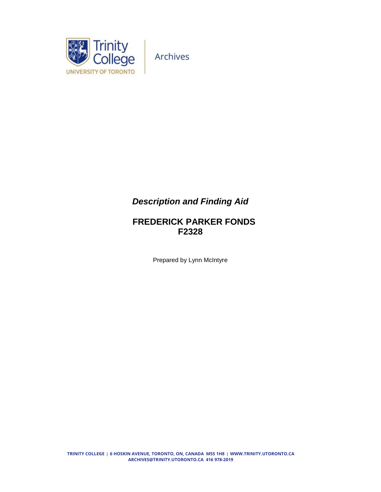

Archives

## *Description and Finding Aid*

## **FREDERICK PARKER FONDS F2328**

Prepared by Lynn McIntyre